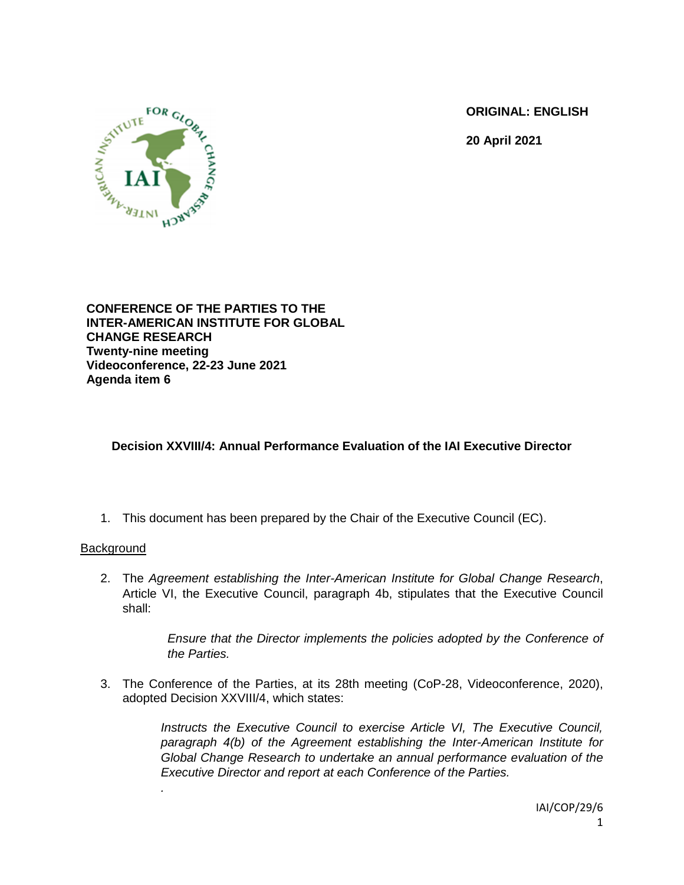**ORIGINAL: ENGLISH**

**20 April 2021**



**CONFERENCE OF THE PARTIES TO THE INTER-AMERICAN INSTITUTE FOR GLOBAL CHANGE RESEARCH Twenty-nine meeting Videoconference, 22-23 June 2021 Agenda item 6**

## **Decision XXVIII/4: Annual Performance Evaluation of the IAI Executive Director**

1. This document has been prepared by the Chair of the Executive Council (EC).

## **Background**

*.*

2. The *Agreement establishing the Inter-American Institute for Global Change Research*, Article VI, the Executive Council, paragraph 4b, stipulates that the Executive Council shall:

> *Ensure that the Director implements the policies adopted by the Conference of the Parties.*

3. The Conference of the Parties, at its 28th meeting (CoP-28, Videoconference, 2020), adopted Decision XXVIII/4, which states:

> *Instructs the Executive Council to exercise Article VI, The Executive Council, paragraph 4(b) of the Agreement establishing the Inter-American Institute for Global Change Research to undertake an annual performance evaluation of the Executive Director and report at each Conference of the Parties.*